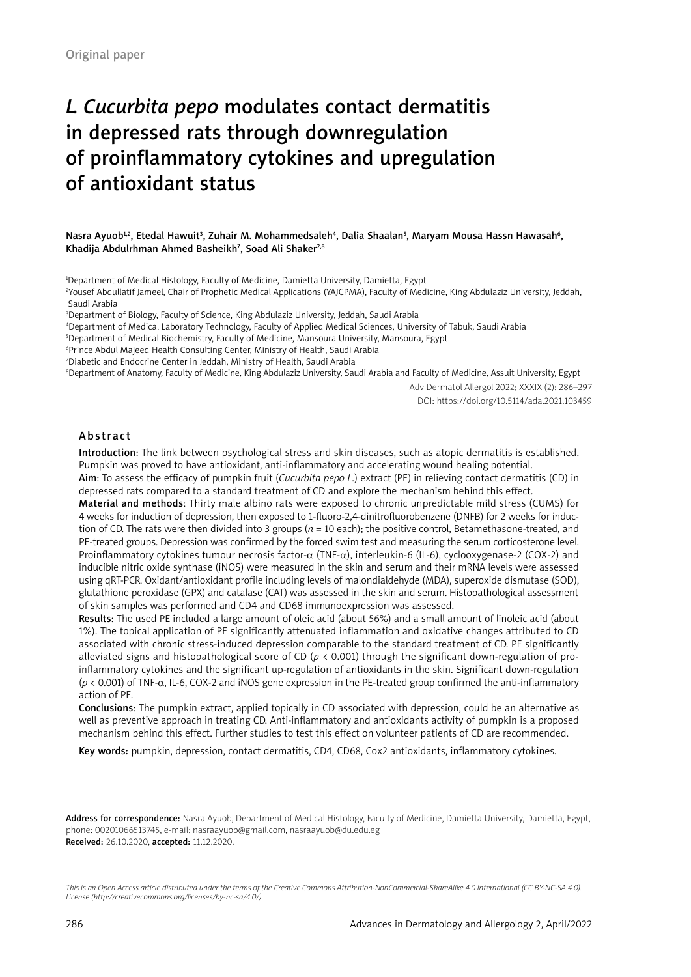# *L. Cucurbita pepo* modulates contact dermatitis in depressed rats through downregulation of proinflammatory cytokines and upregulation of antioxidant status

Nasra Ayuob<sup>1,2</sup>, Etedal Hawuit<sup>3</sup>, Zuhair M. Mohammedsaleh<sup>4</sup>, Dalia Shaalan<sup>s</sup>, Maryam Mousa Hassn Hawasah<sup>6</sup>, Khadija Abdulrhman Ahmed Basheikh<sup>7</sup>, Soad Ali Shaker<sup>2,8</sup>

1 Department of Medical Histology, Faculty of Medicine, Damietta University, Damietta, Egypt

2 Yousef Abdullatif Jameel, Chair of Prophetic Medical Applications (YAJCPMA), Faculty of Medicine, King Abdulaziz University, Jeddah, Saudi Arabia

3 Department of Biology, Faculty of Science, King Abdulaziz University, Jeddah, Saudi Arabia

4 Department of Medical Laboratory Technology, Faculty of Applied Medical Sciences, University of Tabuk, Saudi Arabia

5 Department of Medical Biochemistry, Faculty of Medicine, Mansoura University, Mansoura, Egypt

6 Prince Abdul Majeed Health Consulting Center, Ministry of Health, Saudi Arabia

7 Diabetic and Endocrine Center in Jeddah, Ministry of Health, Saudi Arabia

8 Department of Anatomy, Faculty of Medicine, King Abdulaziz University, Saudi Arabia and Faculty of Medicine, Assuit University, Egypt

Adv Dermatol Allergol 2022; XXXIX (2): 286–297 DOI: https://doi.org/10.5114/ada.2021.103459

#### Abstract

Introduction: The link between psychological stress and skin diseases, such as atopic dermatitis is established. Pumpkin was proved to have antioxidant, anti-inflammatory and accelerating wound healing potential.

Aim: To assess the efficacy of pumpkin fruit (*Cucurbita pepo L*.) extract (PE) in relieving contact dermatitis (CD) in depressed rats compared to a standard treatment of CD and explore the mechanism behind this effect.

Material and methods: Thirty male albino rats were exposed to chronic unpredictable mild stress (CUMS) for 4 weeks for induction of depression, then exposed to 1-fluoro-2,4-dinitrofluorobenzene (DNFB) for 2 weeks for induction of CD. The rats were then divided into 3 groups (*n* = 10 each); the positive control, Betamethasone-treated, and PE-treated groups. Depression was confirmed by the forced swim test and measuring the serum corticosterone level. Proinflammatory cytokines tumour necrosis factor-α (TNF-α), interleukin-6 (IL-6), cyclooxygenase-2 (COX-2) and inducible nitric oxide synthase (iNOS) were measured in the skin and serum and their mRNA levels were assessed using qRT-PCR. Oxidant/antioxidant profile including levels of malondialdehyde (MDA), superoxide dismutase (SOD), glutathione peroxidase (GPX) and catalase (CAT) was assessed in the skin and serum. Histopathological assessment of skin samples was performed and CD4 and CD68 immunoexpression was assessed.

Results: The used PE included a large amount of oleic acid (about 56%) and a small amount of linoleic acid (about 1%). The topical application of PE significantly attenuated inflammation and oxidative changes attributed to CD associated with chronic stress-induced depression comparable to the standard treatment of CD. PE significantly alleviated signs and histopathological score of CD (*p* < 0.001) through the significant down-regulation of proinflammatory cytokines and the significant up-regulation of antioxidants in the skin. Significant down-regulation (*p* < 0.001) of TNF-α, IL-6, COX-2 and iNOS gene expression in the PE-treated group confirmed the anti-inflammatory action of PE.

Conclusions: The pumpkin extract, applied topically in CD associated with depression, could be an alternative as well as preventive approach in treating CD. Anti-inflammatory and antioxidants activity of pumpkin is a proposed mechanism behind this effect. Further studies to test this effect on volunteer patients of CD are recommended.

Key words: pumpkin, depression, contact dermatitis, CD4, CD68, Cox2 antioxidants, inflammatory cytokines.

Address for correspondence: Nasra Ayuob, Department of Medical Histology, Faculty of Medicine, Damietta University, Damietta, Egypt, phone: 00201066513745, e-mail: nasraayuob@gmail.com, nasraayuob@du.edu.eg Received: 26.10.2020, accepted: 11.12.2020.

*This is an Open Access article distributed under the terms of the Creative Commons Attribution-NonCommercial-ShareAlike 4.0 International (CC BY-NC-SA 4.0). License (http://creativecommons.org/licenses/by-nc-sa/4.0/)*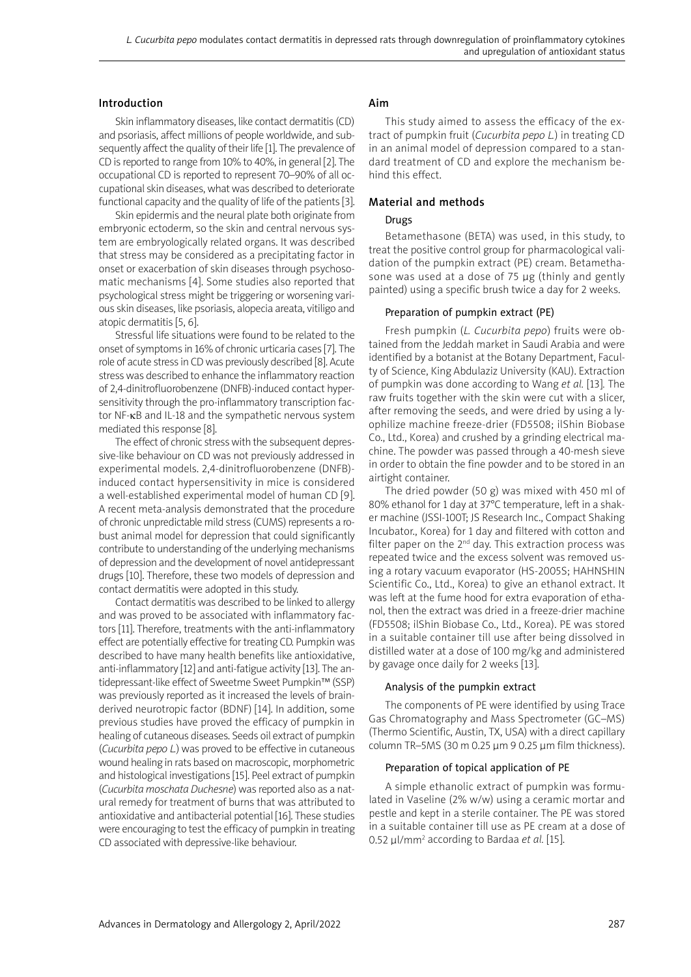#### Introduction

Skin inflammatory diseases, like contact dermatitis (CD) and psoriasis, affect millions of people worldwide, and subsequently affect the quality of their life [1]. The prevalence of CD is reported to range from 10% to 40%, in general [2]. The occupational CD is reported to represent 70–90% of all occupational skin diseases, what was described to deteriorate functional capacity and the quality of life of the patients [3].

Skin epidermis and the neural plate both originate from embryonic ectoderm, so the skin and central nervous system are embryologically related organs. It was described that stress may be considered as a precipitating factor in onset or exacerbation of skin diseases through psychosomatic mechanisms [4]. Some studies also reported that psychological stress might be triggering or worsening various skin diseases, like psoriasis, alopecia areata, vitiligo and atopic dermatitis [5, 6].

Stressful life situations were found to be related to the onset of symptoms in 16% of chronic urticaria cases [7]. The role of acute stress in CD was previously described [8]. Acute stress was described to enhance the inflammatory reaction of 2,4-dinitrofluorobenzene (DNFB)-induced contact hypersensitivity through the pro-inflammatory transcription factor NF-κB and IL-18 and the sympathetic nervous system mediated this response [8].

The effect of chronic stress with the subsequent depressive-like behaviour on CD was not previously addressed in experimental models. 2,4-dinitrofluorobenzene (DNFB) induced contact hypersensitivity in mice is considered a well-established experimental model of human CD [9]. A recent meta-analysis demonstrated that the procedure of chronic unpredictable mild stress (CUMS) represents a robust animal model for depression that could significantly contribute to understanding of the underlying mechanisms of depression and the development of novel antidepressant drugs [10]. Therefore, these two models of depression and contact dermatitis were adopted in this study.

Contact dermatitis was described to be linked to allergy and was proved to be associated with inflammatory factors [11]. Therefore, treatments with the anti-inflammatory effect are potentially effective for treating CD. Pumpkin was described to have many health benefits like antioxidative, anti-inflammatory [12] and anti-fatigue activity [13]. The antidepressant-like effect of Sweetme Sweet Pumpkin™ (SSP) was previously reported as it increased the levels of brainderived neurotropic factor (BDNF) [14]. In addition, some previous studies have proved the efficacy of pumpkin in healing of cutaneous diseases. Seeds oil extract of pumpkin (*Cucurbita pepo L.*) was proved to be effective in cutaneous wound healing in rats based on macroscopic, morphometric and histological investigations [15]. Peel extract of pumpkin (*Cucurbita moschata Duchesne*) was reported also as a natural remedy for treatment of burns that was attributed to antioxidative and antibacterial potential [16]. These studies were encouraging to test the efficacy of pumpkin in treating CD associated with depressive-like behaviour.

## Aim

This study aimed to assess the efficacy of the extract of pumpkin fruit (*Cucurbita pepo L.*) in treating CD in an animal model of depression compared to a standard treatment of CD and explore the mechanism behind this effect.

# Material and methods

# Drugs

Betamethasone (BETA) was used, in this study, to treat the positive control group for pharmacological validation of the pumpkin extract (PE) cream. Betamethasone was used at a dose of 75 μg (thinly and gently painted) using a specific brush twice a day for 2 weeks.

# Preparation of pumpkin extract (PE)

Fresh pumpkin (*L. Cucurbita pepo*) fruits were obtained from the Jeddah market in Saudi Arabia and were identified by a botanist at the Botany Department, Faculty of Science, King Abdulaziz University (KAU). Extraction of pumpkin was done according to Wang *et al.* [13]*.* The raw fruits together with the skin were cut with a slicer, after removing the seeds, and were dried by using a lyophilize machine freeze-drier (FD5508; ilShin Biobase Co., Ltd., Korea) and crushed by a grinding electrical machine. The powder was passed through a 40-mesh sieve in order to obtain the fine powder and to be stored in an airtight container.

The dried powder (50 g) was mixed with 450 ml of 80% ethanol for 1 day at 37°C temperature, left in a shaker machine (JSSI-100T; JS Research Inc., Compact Shaking Incubator., Korea) for 1 day and filtered with cotton and filter paper on the  $2^{nd}$  day. This extraction process was repeated twice and the excess solvent was removed using a rotary vacuum evaporator (HS-2005S; HAHNSHIN Scientific Co., Ltd., Korea) to give an ethanol extract. It was left at the fume hood for extra evaporation of ethanol, then the extract was dried in a freeze-drier machine (FD5508; ilShin Biobase Co., Ltd., Korea). PE was stored in a suitable container till use after being dissolved in distilled water at a dose of 100 mg/kg and administered by gavage once daily for 2 weeks [13].

## Analysis of the pumpkin extract

The components of PE were identified by using Trace Gas Chromatography and Mass Spectrometer (GC–MS) (Thermo Scientific, Austin, TX, USA) with a direct capillary column TR–5MS (30 m 0.25 µm 9 0.25 µm film thickness).

## Preparation of topical application of PE

A simple ethanolic extract of pumpkin was formulated in Vaseline (2% w/w) using a ceramic mortar and pestle and kept in a sterile container. The PE was stored in a suitable container till use as PE cream at a dose of 0.52 μl/mm<sup>2</sup> according to Bardaa *et al.* [15].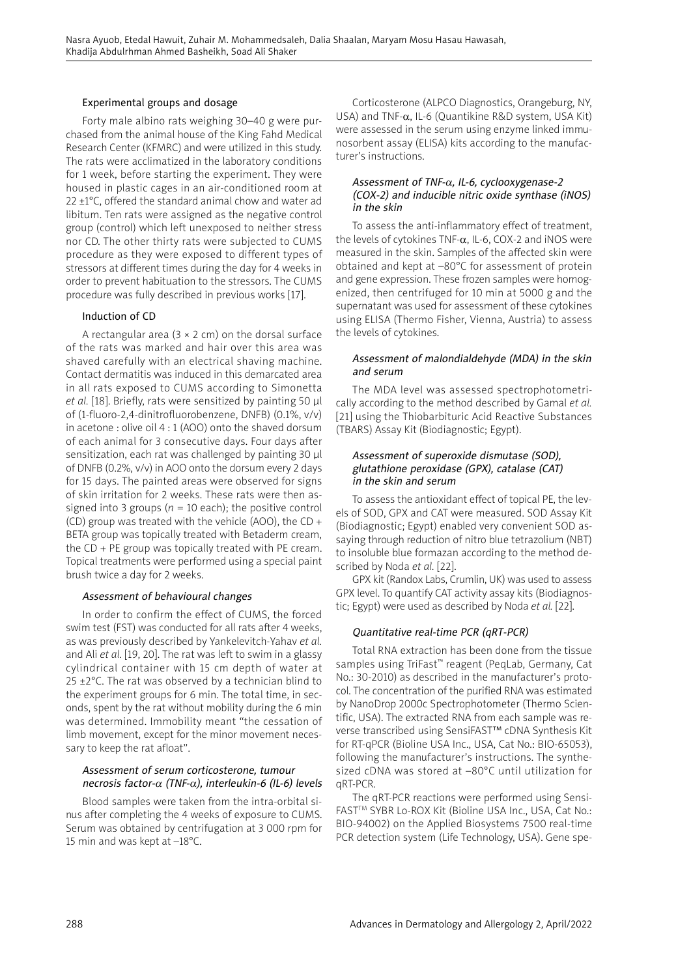#### Experimental groups and dosage

Forty male albino rats weighing 30–40 g were purchased from the animal house of the King Fahd Medical Research Center (KFMRC) and were utilized in this study. The rats were acclimatized in the laboratory conditions for 1 week, before starting the experiment. They were housed in plastic cages in an air-conditioned room at 22 ±1°C, offered the standard animal chow and water ad libitum. Ten rats were assigned as the negative control group (control) which left unexposed to neither stress nor CD. The other thirty rats were subjected to CUMS procedure as they were exposed to different types of stressors at different times during the day for 4 weeks in order to prevent habituation to the stressors. The CUMS procedure was fully described in previous works [17].

## Induction of CD

A rectangular area  $(3 \times 2 \text{ cm})$  on the dorsal surface of the rats was marked and hair over this area was shaved carefully with an electrical shaving machine. Contact dermatitis was induced in this demarcated area in all rats exposed to CUMS according to Simonetta *et al.* [18]. Briefly, rats were sensitized by painting 50 μl of (1-fluoro-2,4-dinitrofluorobenzene, DNFB) (0.1%, v/v) in acetone : olive oil 4 : 1 (AOO) onto the shaved dorsum of each animal for 3 consecutive days. Four days after sensitization, each rat was challenged by painting 30 μl of DNFB (0.2%, v/v) in AOO onto the dorsum every 2 days for 15 days. The painted areas were observed for signs of skin irritation for 2 weeks. These rats were then assigned into 3 groups ( $n = 10$  each); the positive control (CD) group was treated with the vehicle (AOO), the CD + BETA group was topically treated with Betaderm cream, the CD + PE group was topically treated with PE cream. Topical treatments were performed using a special paint brush twice a day for 2 weeks.

#### Assessment of behavioural changes

In order to confirm the effect of CUMS, the forced swim test (FST) was conducted for all rats after 4 weeks, as was previously described by Yankelevitch-Yahav *et al.*  and Ali *et al.* [19, 20]. The rat was left to swim in a glassy cylindrical container with 15 cm depth of water at 25  $\pm$ 2°C. The rat was observed by a technician blind to the experiment groups for 6 min. The total time, in seconds, spent by the rat without mobility during the 6 min was determined. Immobility meant "the cessation of limb movement, except for the minor movement necessary to keep the rat afloat".

#### Assessment of serum corticosterone, tumour necrosis factor- $\alpha$  (TNF- $\alpha$ ), interleukin-6 (IL-6) levels

Blood samples were taken from the intra-orbital sinus after completing the 4 weeks of exposure to CUMS. Serum was obtained by centrifugation at 3 000 rpm for 15 min and was kept at –18°C.

Corticosterone (ALPCO Diagnostics, Orangeburg, NY, USA) and TNF- $\alpha$ , IL-6 (Quantikine R&D system, USA Kit) were assessed in the serum using enzyme linked immunosorbent assay (ELISA) kits according to the manufacturer's instructions.

#### Assessment of TNF-<sup>α</sup>, IL-6, cyclooxygenase-2 (COX-2) and inducible nitric oxide synthase (iNOS) in the skin

To assess the anti-inflammatory effect of treatment, the levels of cytokines TNF- $\alpha$ , IL-6, COX-2 and iNOS were measured in the skin. Samples of the affected skin were obtained and kept at –80°C for assessment of protein and gene expression. These frozen samples were homogenized, then centrifuged for 10 min at 5000 g and the supernatant was used for assessment of these cytokines using ELISA (Thermo Fisher, Vienna, Austria) to assess the levels of cytokines.

### Assessment of malondialdehyde (MDA) in the skin and serum

The MDA level was assessed spectrophotometrically according to the method described by Gamal *et al.* [21] using the Thiobarbituric Acid Reactive Substances (TBARS) Assay Kit (Biodiagnostic; Egypt).

#### Assessment of superoxide dismutase (SOD), glutathione peroxidase (GPX), catalase (CAT) in the skin and serum

To assess the antioxidant effect of topical PE, the levels of SOD, GPX and CAT were measured. SOD Assay Kit (Biodiagnostic; Egypt) enabled very convenient SOD assaying through reduction of nitro blue tetrazolium (NBT) to insoluble blue formazan according to the method described by Noda *et al.* [22].

GPX kit (Randox Labs, Crumlin, UK) was used to assess GPX level. To quantify CAT activity assay kits (Biodiagnostic; Egypt) were used as described by Noda *et al.* [22].

## Quantitative real-time PCR (qRT-PCR)

Total RNA extraction has been done from the tissue samples using TriFast™ reagent (PeqLab, Germany, Cat No.: 30-2010) as described in the manufacturer's protocol. The concentration of the purified RNA was estimated by NanoDrop 2000c Spectrophotometer (Thermo Scientific, USA). The extracted RNA from each sample was reverse transcribed using SensiFAST™ cDNA Synthesis Kit for RT-qPCR (Bioline USA Inc., USA, Cat No.: BIO-65053), following the manufacturer's instructions. The synthesized cDNA was stored at –80°C until utilization for qRT-PCR.

The qRT-PCR reactions were performed using Sensi-FAST™ SYBR Lo-ROX Kit (Bioline USA Inc., USA, Cat No.: BIO-94002) on the Applied Biosystems 7500 real-time PCR detection system (Life Technology, USA). Gene spe-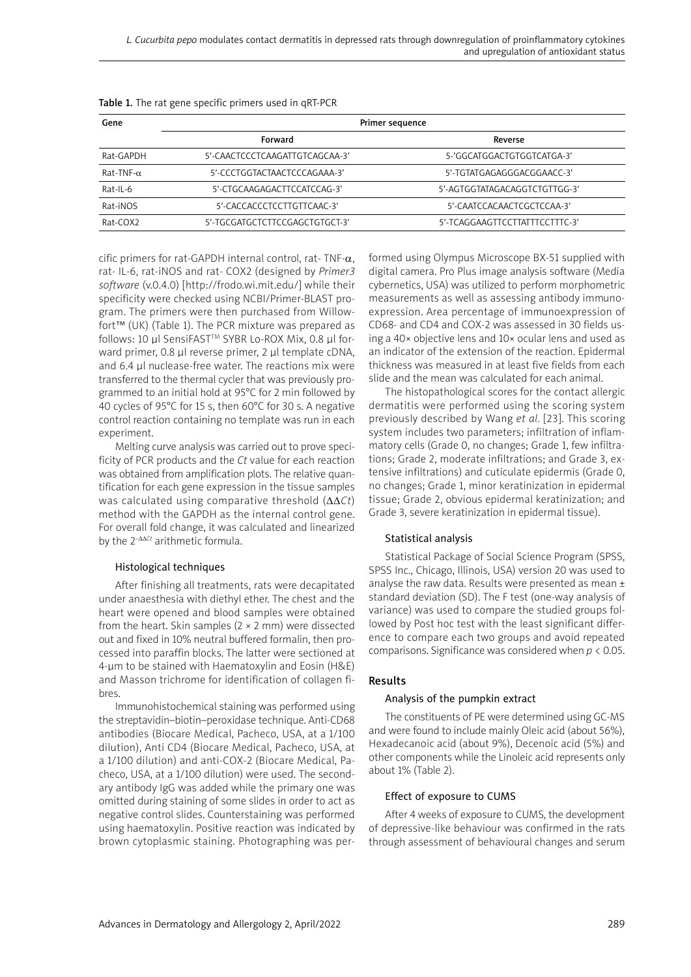| Gene                 | Primer sequence                |                                |  |  |  |
|----------------------|--------------------------------|--------------------------------|--|--|--|
|                      | Forward                        | Reverse                        |  |  |  |
| Rat-GAPDH            | 5'-CAACTCCCTCAAGATTGTCAGCAA-3' | 5-'GGCATGGACTGTGGTCATGA-3'     |  |  |  |
| $Rat$ -TNF- $\alpha$ | 5'-CCCTGGTACTAACTCCCAGAAA-3'   | 5'-TGTATGAGAGGGACGGAACC-3'     |  |  |  |
| Rat-IL-6             | 5'-CTGCAAGAGACTTCCATCCAG-3'    | 5'-AGTGGTATAGACAGGTCTGTTGG-3'  |  |  |  |
| Rat-iNOS             | 5'-CACCACCCTCCTTGTTCAAC-3'     | 5'-CAATCCACAACTCGCTCCAA-3'     |  |  |  |
| Rat-COX2             | 5'-TGCGATGCTCTTCCGAGCTGTGCT-3' | 5'-TCAGGAAGTTCCTTATTTCCTTTC-3' |  |  |  |

| Table 1. The rat gene specific primers used in qRT-PCR |  |  |  |
|--------------------------------------------------------|--|--|--|
|                                                        |  |  |  |

cific primers for rat-GAPDH internal control, rat- TNF- $\alpha$ , rat- IL-6, rat-iNOS and rat- COX2 (designed by *Primer3 software* (v.0.4.0) [http://frodo.wi.mit.edu/] while their specificity were checked using NCBI/Primer-BLAST program. The primers were then purchased from Willowfort™ (UK) (Table 1). The PCR mixture was prepared as follows: 10 µl SensiFAST™ SYBR Lo-ROX Mix, 0.8 µl forward primer, 0.8 µl reverse primer, 2 µl template cDNA, and 6.4 µl nuclease-free water. The reactions mix were transferred to the thermal cycler that was previously programmed to an initial hold at 95°C for 2 min followed by 40 cycles of 95°C for 15 s, then 60°C for 30 s. A negative control reaction containing no template was run in each experiment.

Melting curve analysis was carried out to prove specificity of PCR products and the *Ct* value for each reaction was obtained from amplification plots. The relative quantification for each gene expression in the tissue samples was calculated using comparative threshold (ΔΔ*Ct*) method with the GAPDH as the internal control gene. For overall fold change, it was calculated and linearized by the 2–ΔΔ*Ct* arithmetic formula.

## Histological techniques

After finishing all treatments, rats were decapitated under anaesthesia with diethyl ether. The chest and the heart were opened and blood samples were obtained from the heart. Skin samples  $(2 \times 2 \text{ mm})$  were dissected out and fixed in 10% neutral buffered formalin, then processed into paraffin blocks. The latter were sectioned at 4-μm to be stained with Haematoxylin and Eosin (H&E) and Masson trichrome for identification of collagen fibres.

Immunohistochemical staining was performed using the streptavidin–biotin–peroxidase technique. Anti-CD68 antibodies (Biocare Medical, Pacheco, USA, at a 1/100 dilution), Anti CD4 (Biocare Medical, Pacheco, USA, at a 1/100 dilution) and anti-COX-2 (Biocare Medical, Pacheco, USA, at a 1/100 dilution) were used. The secondary antibody IgG was added while the primary one was omitted during staining of some slides in order to act as negative control slides. Counterstaining was performed using haematoxylin. Positive reaction was indicated by brown cytoplasmic staining. Photographing was performed using Olympus Microscope BX-51 supplied with digital camera. Pro Plus image analysis software (Media cybernetics, USA) was utilized to perform morphometric measurements as well as assessing antibody immunoexpression. Area percentage of immunoexpression of CD68- and CD4 and COX-2 was assessed in 30 fields using a 40× objective lens and 10× ocular lens and used as an indicator of the extension of the reaction. Epidermal thickness was measured in at least five fields from each slide and the mean was calculated for each animal.

The histopathological scores for the contact allergic dermatitis were performed using the scoring system previously described by Wang *et al.* [23]. This scoring system includes two parameters; infiltration of inflammatory cells (Grade 0, no changes; Grade 1, few infiltrations; Grade 2, moderate infiltrations; and Grade 3, extensive infiltrations) and cuticulate epidermis (Grade 0, no changes; Grade 1, minor keratinization in epidermal tissue; Grade 2, obvious epidermal keratinization; and Grade 3, severe keratinization in epidermal tissue).

# Statistical analysis

Statistical Package of Social Science Program (SPSS, SPSS Inc., Chicago, Illinois, USA) version 20 was used to analyse the raw data. Results were presented as mean ± standard deviation (SD). The F test (one-way analysis of variance) was used to compare the studied groups followed by Post hoc test with the least significant difference to compare each two groups and avoid repeated comparisons. Significance was considered when *p* < 0.05.

## Results

#### Analysis of the pumpkin extract

The constituents of PE were determined using GC-MS and were found to include mainly Oleic acid (about 56%), Hexadecanoic acid (about 9%), Decenoic acid (5%) and other components while the Linoleic acid represents only about 1% (Table 2).

#### Effect of exposure to CUMS

After 4 weeks of exposure to CUMS, the development of depressive-like behaviour was confirmed in the rats through assessment of behavioural changes and serum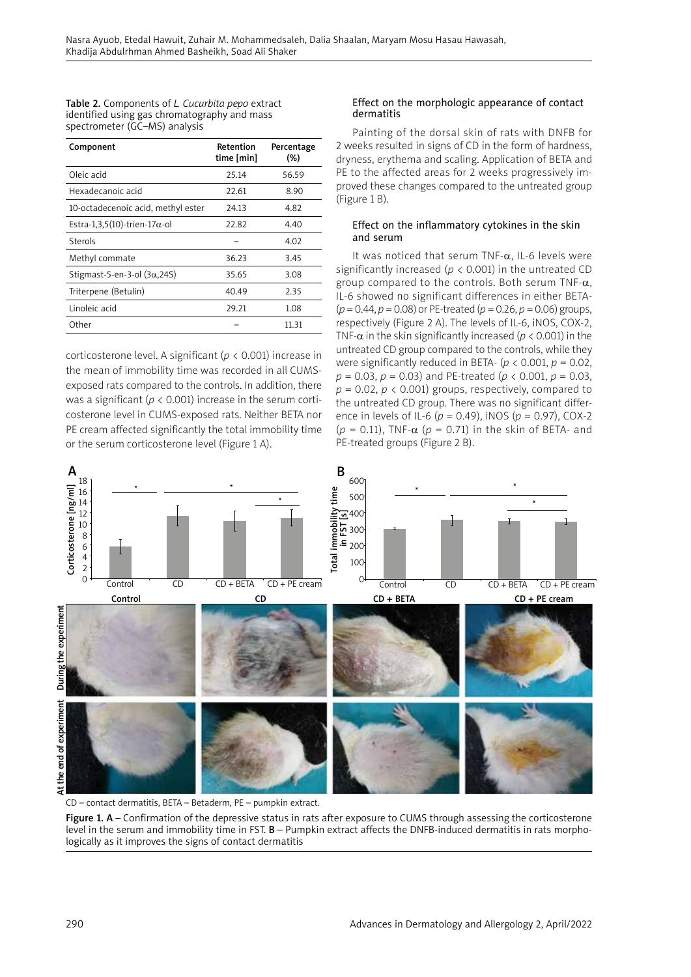| Table 2. Components of L. Cucurbita pepo extract |
|--------------------------------------------------|
| identified using gas chromatography and mass     |
| spectrometer (GC–MS) analysis                    |

| Component                             | Retention<br>time [min] | Percentage<br>(%) |
|---------------------------------------|-------------------------|-------------------|
| Oleic acid                            | 25.14                   | 56.59             |
| Hexadecanoic acid                     | 22.61                   | 8.90              |
| 10-octadecenoic acid, methyl ester    | 24.13                   | 4.82              |
| Estra-1,3,5(10)-trien-17 $\alpha$ -ol | 22.82                   | 4.40              |
| Sterols                               |                         | 4.02              |
| Methyl commate                        | 36.23                   | 3.45              |
| Stigmast-5-en-3-ol $(3\alpha, 245)$   | 35.65                   | 3.08              |
| Triterpene (Betulin)                  | 40.49                   | 2.35              |
| Linoleic acid                         | 29.21                   | 1.08              |
| Other                                 |                         | 11.31             |

corticosterone level. A significant (*p* < 0.001) increase in the mean of immobility time was recorded in all CUMSexposed rats compared to the controls. In addition, there was a significant ( $p < 0.001$ ) increase in the serum corticosterone level in CUMS-exposed rats. Neither BETA nor PE cream affected significantly the total immobility time or the serum corticosterone level (Figure 1 A).

### Effect on the morphologic appearance of contact dermatitis

Painting of the dorsal skin of rats with DNFB for 2 weeks resulted in signs of CD in the form of hardness, dryness, erythema and scaling. Application of BETA and PE to the affected areas for 2 weeks progressively improved these changes compared to the untreated group (Figure 1 B).

## Effect on the inflammatory cytokines in the skin and serum

It was noticed that serum TNF- $\alpha$ , IL-6 levels were significantly increased ( $p < 0.001$ ) in the untreated CD group compared to the controls. Both serum TNF- $\alpha$ , IL-6 showed no significant differences in either BETA- (*p* = 0.44, *p* = 0.08) or PE-treated (*p* = 0.26, *p* = 0.06) groups, respectively (Figure 2 A). The levels of IL-6, iNOS, COX-2, TNF- $\alpha$  in the skin significantly increased ( $p < 0.001$ ) in the untreated CD group compared to the controls, while they were significantly reduced in BETA-  $(p < 0.001, p = 0.02, p$ *p* = 0.03, *p* = 0.03) and PE-treated (*p* < 0.001, *p* = 0.03,  $p = 0.02$ ,  $p < 0.001$ ) groups, respectively, compared to the untreated CD group. There was no significant difference in levels of IL-6 (*p* = 0.49), iNOS (*p* = 0.97), COX-2 ( $p = 0.11$ ), TNF- $\alpha$  ( $p = 0.71$ ) in the skin of BETA- and PE-treated groups (Figure 2 B).



CD – contact dermatitis, BETA – Betaderm, PE – pumpkin extract.

Figure 1. A – Confirmation of the depressive status in rats after exposure to CUMS through assessing the corticosterone level in the serum and immobility time in FST. B – Pumpkin extract affects the DNFB-induced dermatitis in rats morphologically as it improves the signs of contact dermatitis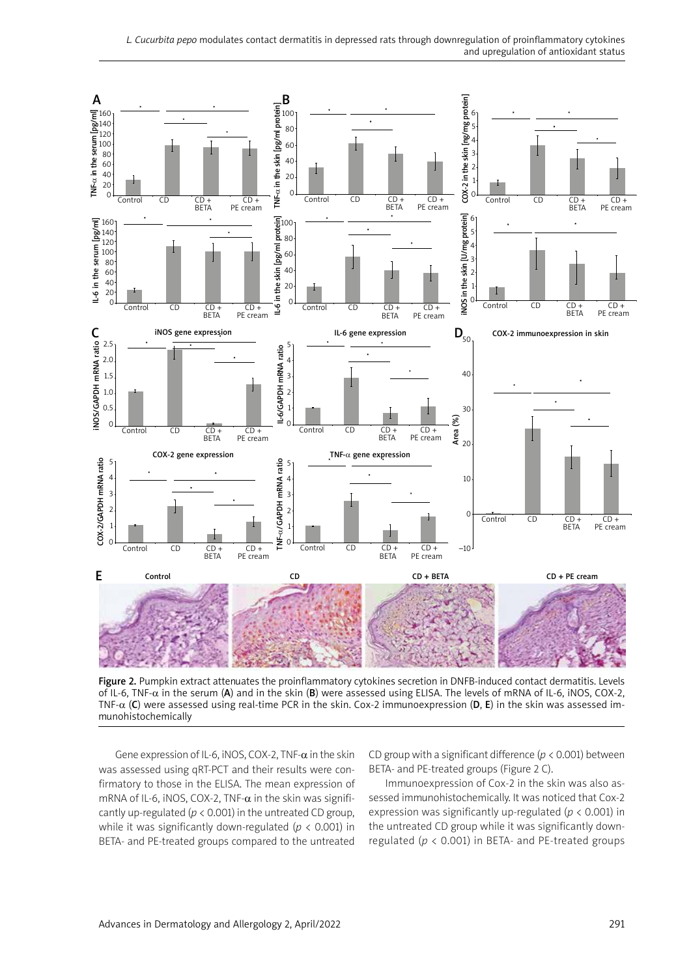

Figure 2. Pumpkin extract attenuates the proinflammatory cytokines secretion in DNFB-induced contact dermatitis. Levels of IL-6, TNF-α in the serum (A) and in the skin (B) were assessed using ELISA. The levels of mRNA of IL-6, iNOS, COX-2, TNF- $\alpha$  (C) were assessed using real-time PCR in the skin. Cox-2 immunoexpression (D, E) in the skin was assessed immunohistochemically

Gene expression of IL-6, iNOS, COX-2, TNF- $\alpha$  in the skin was assessed using qRT-PCT and their results were confirmatory to those in the ELISA. The mean expression of mRNA of IL-6, iNOS, COX-2, TNF- $\alpha$  in the skin was significantly up-regulated ( $p < 0.001$ ) in the untreated CD group, while it was significantly down-regulated (*p* < 0.001) in BETA- and PE-treated groups compared to the untreated

CD group with a significant difference (*p* < 0.001) between BETA- and PE-treated groups (Figure 2 C).

Immunoexpression of Cox-2 in the skin was also assessed immunohistochemically. It was noticed that Cox-2 expression was significantly up-regulated (*p* < 0.001) in the untreated CD group while it was significantly downregulated (*p* < 0.001) in BETA- and PE-treated groups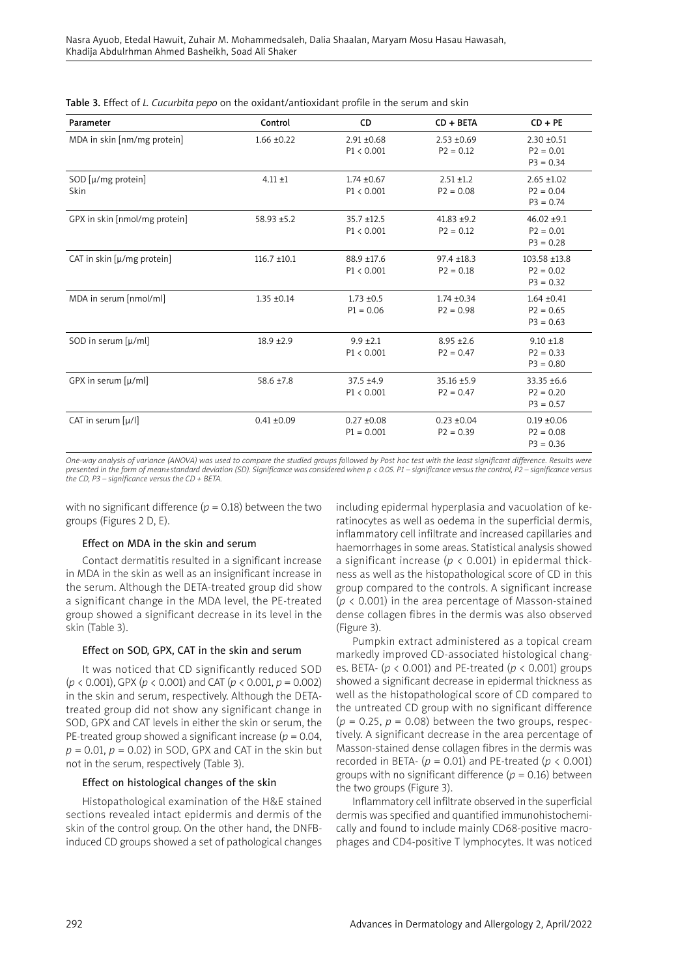| Parameter                     | Control          | CD                            | $CD + BETA$                    | $CD + PE$                                     |
|-------------------------------|------------------|-------------------------------|--------------------------------|-----------------------------------------------|
| MDA in skin [nm/mg protein]   | $1.66 \pm 0.22$  | $2.91 \pm 0.68$<br>P1 < 0.001 | $2.53 + 0.69$<br>$P2 = 0.12$   | $2.30 + 0.51$<br>$P2 = 0.01$<br>$P3 = 0.34$   |
| SOD [µ/mg protein]<br>Skin    | $4.11 + 1$       | $1.74 \pm 0.67$<br>P1 < 0.001 | $2.51 + 1.2$<br>$P2 = 0.08$    | $2.65 + 1.02$<br>$P2 = 0.04$<br>$P3 = 0.74$   |
| GPX in skin [nmol/mg protein] | 58.93 ±5.2       | $35.7 + 12.5$<br>P1 < 0.001   | $41.83 + 9.2$<br>$P2 = 0.12$   | $46.02 + 9.1$<br>$P2 = 0.01$<br>$P3 = 0.28$   |
| CAT in skin [µ/mg protein]    | $116.7 \pm 10.1$ | 88.9 ±17.6<br>P1 < 0.001      | $97.4 \pm 18.3$<br>$P2 = 0.18$ | 103.58 ±13.8<br>$P2 = 0.02$<br>$P3 = 0.32$    |
| MDA in serum [nmol/ml]        | $1.35 \pm 0.14$  | $1.73 + 0.5$<br>$P1 = 0.06$   | $1.74 \pm 0.34$<br>$P2 = 0.98$ | $1.64 \pm 0.41$<br>$P2 = 0.65$<br>$P3 = 0.63$ |
| SOD in serum [µ/ml]           | $18.9 + 2.9$     | $9.9 + 2.1$<br>P1 < 0.001     | $8.95 \pm 2.6$<br>$P2 = 0.47$  | $9.10 \pm 1.8$<br>$P2 = 0.33$<br>$P3 = 0.80$  |
| GPX in serum [µ/ml]           | $58.6 \pm 7.8$   | $37.5 + 4.9$<br>P1 < 0.001    | $35.16 \pm 5.9$<br>$P2 = 0.47$ | $33.35 \pm 6.6$<br>$P2 = 0.20$<br>$P3 = 0.57$ |
| CAT in serum $[\mu/$          | $0.41 \pm 0.09$  | $0.27 + 0.08$<br>$P1 = 0.001$ | $0.23 \pm 0.04$<br>$P2 = 0.39$ | $0.19 \pm 0.06$<br>$P2 = 0.08$<br>$P3 = 0.36$ |

*One-way analysis of variance (ANOVA) was used to compare the studied groups followed by Post hoc test with the least significant difference. Results were presented in the form of mean±standard deviation (SD). Significance was considered when p < 0.05. P1 – significance versus the control, P2 – significance versus the CD, P3 – significance versus the CD + BETA.*

with no significant difference  $(p = 0.18)$  between the two groups (Figures 2 D, E).

#### Effect on MDA in the skin and serum

Contact dermatitis resulted in a significant increase in MDA in the skin as well as an insignificant increase in the serum. Although the DETA-treated group did show a significant change in the MDA level, the PE-treated group showed a significant decrease in its level in the skin (Table 3).

## Effect on SOD, GPX, CAT in the skin and serum

It was noticed that CD significantly reduced SOD (*p* < 0.001), GPX (*p* < 0.001) and CAT (*p* < 0.001, *p* = 0.002) in the skin and serum, respectively. Although the DETAtreated group did not show any significant change in SOD, GPX and CAT levels in either the skin or serum, the PE-treated group showed a significant increase ( $p = 0.04$ ,  $p = 0.01$ ,  $p = 0.02$ ) in SOD, GPX and CAT in the skin but not in the serum, respectively (Table 3).

#### Effect on histological changes of the skin

Histopathological examination of the H&E stained sections revealed intact epidermis and dermis of the skin of the control group. On the other hand, the DNFBinduced CD groups showed a set of pathological changes including epidermal hyperplasia and vacuolation of keratinocytes as well as oedema in the superficial dermis, inflammatory cell infiltrate and increased capillaries and haemorrhages in some areas. Statistical analysis showed a significant increase ( $p < 0.001$ ) in epidermal thickness as well as the histopathological score of CD in this group compared to the controls. A significant increase (*p* < 0.001) in the area percentage of Masson-stained dense collagen fibres in the dermis was also observed (Figure 3).

Pumpkin extract administered as a topical cream markedly improved CD-associated histological changes. BETA- (*p* < 0.001) and PE-treated (*p* < 0.001) groups showed a significant decrease in epidermal thickness as well as the histopathological score of CD compared to the untreated CD group with no significant difference  $(p = 0.25, p = 0.08)$  between the two groups, respectively. A significant decrease in the area percentage of Masson-stained dense collagen fibres in the dermis was recorded in BETA-  $(p = 0.01)$  and PE-treated  $(p < 0.001)$ groups with no significant difference (*p* = 0.16) between the two groups (Figure 3).

Inflammatory cell infiltrate observed in the superficial dermis was specified and quantified immunohistochemically and found to include mainly CD68-positive macrophages and CD4-positive T lymphocytes. It was noticed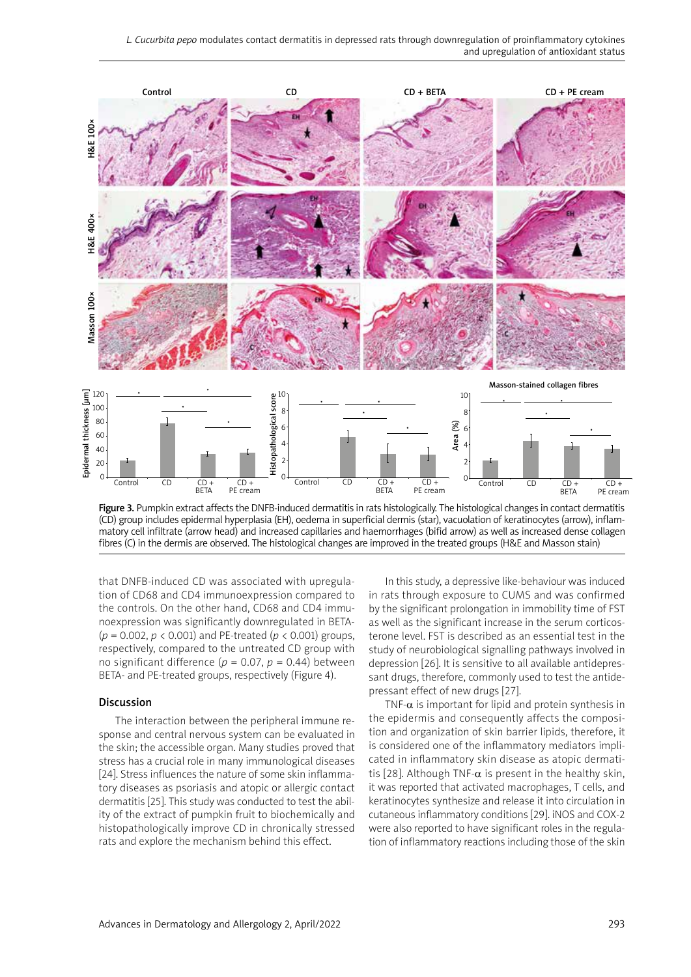

Figure 3. Pumpkin extract affects the DNFB-induced dermatitis in rats histologically. The histological changes in contact dermatitis (CD) group includes epidermal hyperplasia (EH), oedema in superficial dermis (star), vacuolation of keratinocytes (arrow), inflammatory cell infiltrate (arrow head) and increased capillaries and haemorrhages (bifid arrow) as well as increased dense collagen fibres (C) in the dermis are observed. The histological changes are improved in the treated groups (H&E and Masson stain)

that DNFB-induced CD was associated with upregulation of CD68 and CD4 immunoexpression compared to the controls. On the other hand, CD68 and CD4 immunoexpression was significantly downregulated in BETA- (*p* = 0.002, *p* < 0.001) and PE-treated (*p* < 0.001) groups, respectively, compared to the untreated CD group with no significant difference ( $p = 0.07$ ,  $p = 0.44$ ) between BETA- and PE-treated groups, respectively (Figure 4).

#### Discussion

The interaction between the peripheral immune response and central nervous system can be evaluated in the skin; the accessible organ. Many studies proved that stress has a crucial role in many immunological diseases [24]. Stress influences the nature of some skin inflammatory diseases as psoriasis and atopic or allergic contact dermatitis [25]. This study was conducted to test the ability of the extract of pumpkin fruit to biochemically and histopathologically improve CD in chronically stressed rats and explore the mechanism behind this effect.

In this study, a depressive like-behaviour was induced in rats through exposure to CUMS and was confirmed by the significant prolongation in immobility time of FST as well as the significant increase in the serum corticosterone level. FST is described as an essential test in the study of neurobiological signalling pathways involved in depression [26]. It is sensitive to all available antidepressant drugs, therefore, commonly used to test the antidepressant effect of new drugs [27].

TNF- $\alpha$  is important for lipid and protein synthesis in the epidermis and consequently affects the composition and organization of skin barrier lipids, therefore, it is considered one of the inflammatory mediators implicated in inflammatory skin disease as atopic dermatitis [28]. Although TNF- $\alpha$  is present in the healthy skin, it was reported that activated macrophages, T cells, and keratinocytes synthesize and release it into circulation in cutaneous inflammatory conditions [29]. iNOS and COX-2 were also reported to have significant roles in the regulation of inflammatory reactions including those of the skin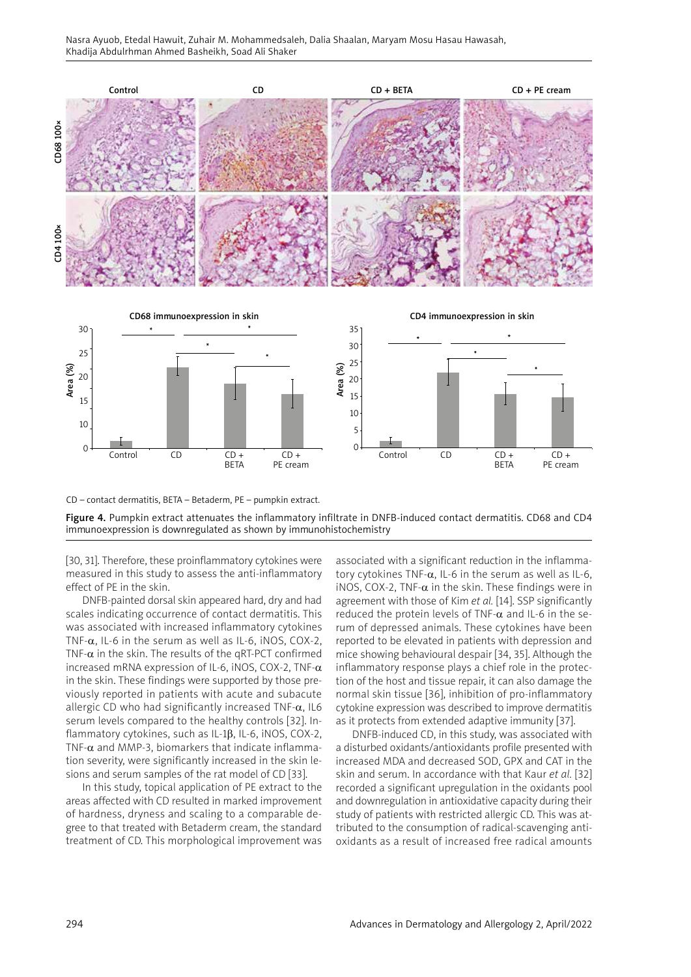

CD – contact dermatitis, BETA – Betaderm, PE – pumpkin extract.

Figure 4. Pumpkin extract attenuates the inflammatory infiltrate in DNFB-induced contact dermatitis. CD68 and CD4 immunoexpression is downregulated as shown by immunohistochemistry

PE cream

[30, 31]. Therefore, these proinflammatory cytokines were measured in this study to assess the anti-inflammatory effect of PE in the skin.

DNFB-painted dorsal skin appeared hard, dry and had scales indicating occurrence of contact dermatitis. This was associated with increased inflammatory cytokines TNF- $\alpha$ , IL-6 in the serum as well as IL-6, iNOS, COX-2, TNF- $\alpha$  in the skin. The results of the qRT-PCT confirmed increased mRNA expression of IL-6, iNOS, COX-2, TNF- $\alpha$ in the skin. These findings were supported by those previously reported in patients with acute and subacute allergic CD who had significantly increased TNF- $\alpha$ , IL6 serum levels compared to the healthy controls [32]. Inflammatory cytokines, such as IL-1 $\beta$ , IL-6, iNOS, COX-2, TNF- $\alpha$  and MMP-3, biomarkers that indicate inflammation severity, were significantly increased in the skin lesions and serum samples of the rat model of CD [33].

In this study, topical application of PE extract to the areas affected with CD resulted in marked improvement of hardness, dryness and scaling to a comparable degree to that treated with Betaderm cream, the standard treatment of CD. This morphological improvement was associated with a significant reduction in the inflammatory cytokines TNF- $\alpha$ , IL-6 in the serum as well as IL-6, iNOS, COX-2, TNF- $\alpha$  in the skin. These findings were in agreement with those of Kim *et al.* [14]. SSP significantly reduced the protein levels of TNF- $\alpha$  and IL-6 in the serum of depressed animals. These cytokines have been reported to be elevated in patients with depression and mice showing behavioural despair [34, 35]. Although the inflammatory response plays a chief role in the protection of the host and tissue repair, it can also damage the normal skin tissue [36], inhibition of pro-inflammatory cytokine expression was described to improve dermatitis as it protects from extended adaptive immunity [37].

PE cream

DNFB-induced CD, in this study, was associated with a disturbed oxidants/antioxidants profile presented with increased MDA and decreased SOD, GPX and CAT in the skin and serum. In accordance with that Kaur *et al.* [32] recorded a significant upregulation in the oxidants pool and downregulation in antioxidative capacity during their study of patients with restricted allergic CD. This was attributed to the consumption of radical-scavenging antioxidants as a result of increased free radical amounts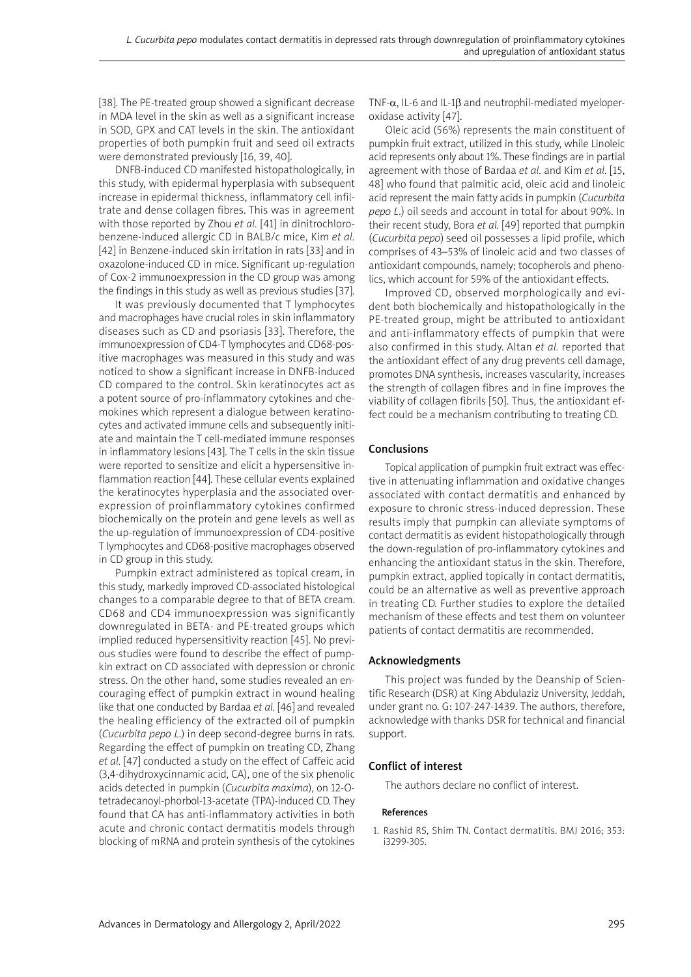[38]. The PE-treated group showed a significant decrease in MDA level in the skin as well as a significant increase in SOD, GPX and CAT levels in the skin. The antioxidant properties of both pumpkin fruit and seed oil extracts were demonstrated previously [16, 39, 40].

DNFB-induced CD manifested histopathologically, in this study, with epidermal hyperplasia with subsequent increase in epidermal thickness, inflammatory cell infiltrate and dense collagen fibres. This was in agreement with those reported by Zhou *et al.* [41] in dinitrochlorobenzene-induced allergic CD in BALB/c mice, Kim *et al.* [42] in Benzene-induced skin irritation in rats [33] and in oxazolone-induced CD in mice. Significant up-regulation of Cox-2 immunoexpression in the CD group was among the findings in this study as well as previous studies [37].

It was previously documented that T lymphocytes and macrophages have crucial roles in skin inflammatory diseases such as CD and psoriasis [33]. Therefore, the immunoexpression of CD4-T lymphocytes and CD68-positive macrophages was measured in this study and was noticed to show a significant increase in DNFB-induced CD compared to the control. Skin keratinocytes act as a potent source of pro-inflammatory cytokines and chemokines which represent a dialogue between keratinocytes and activated immune cells and subsequently initiate and maintain the T cell-mediated immune responses in inflammatory lesions [43]. The T cells in the skin tissue were reported to sensitize and elicit a hypersensitive inflammation reaction [44]. These cellular events explained the keratinocytes hyperplasia and the associated overexpression of proinflammatory cytokines confirmed biochemically on the protein and gene levels as well as the up-regulation of immunoexpression of CD4-positive T lymphocytes and CD68-positive macrophages observed in CD group in this study.

Pumpkin extract administered as topical cream, in this study, markedly improved CD-associated histological changes to a comparable degree to that of BETA cream. CD68 and CD4 immunoexpression was significantly downregulated in BETA- and PE-treated groups which implied reduced hypersensitivity reaction [45]. No previous studies were found to describe the effect of pumpkin extract on CD associated with depression or chronic stress. On the other hand, some studies revealed an encouraging effect of pumpkin extract in wound healing like that one conducted by Bardaa *et al.* [46] and revealed the healing efficiency of the extracted oil of pumpkin (*Cucurbita pepo L*.) in deep second-degree burns in rats. Regarding the effect of pumpkin on treating CD, Zhang *et al.* [47] conducted a study on the effect of Caffeic acid (3,4-dihydroxycinnamic acid, CA), one of the six phenolic acids detected in pumpkin (*Cucurbita maxima*), on 12-Otetradecanoyl-phorbol-13-acetate (TPA)-induced CD. They found that CA has anti-inflammatory activities in both acute and chronic contact dermatitis models through blocking of mRNA and protein synthesis of the cytokines TNF- $\alpha$ , IL-6 and IL-1 $\beta$  and neutrophil-mediated myeloperoxidase activity [47].

Oleic acid (56%) represents the main constituent of pumpkin fruit extract, utilized in this study, while Linoleic acid represents only about 1%. These findings are in partial agreement with those of Bardaa *et al.* and Kim *et al.* [15, 48] who found that palmitic acid, oleic acid and linoleic acid represent the main fatty acids in pumpkin (*Cucurbita pepo L*.) oil seeds and account in total for about 90%. In their recent study, Bora *et al.* [49] reported that pumpkin (*Cucurbita pepo*) seed oil possesses a lipid profile, which comprises of 43–53% of linoleic acid and two classes of antioxidant compounds, namely; tocopherols and phenolics, which account for 59% of the antioxidant effects.

Improved CD, observed morphologically and evident both biochemically and histopathologically in the PE-treated group, might be attributed to antioxidant and anti-inflammatory effects of pumpkin that were also confirmed in this study. Altan *et al.* reported that the antioxidant effect of any drug prevents cell damage, promotes DNA synthesis, increases vascularity, increases the strength of collagen fibres and in fine improves the viability of collagen fibrils [50]. Thus, the antioxidant effect could be a mechanism contributing to treating CD.

## Conclusions

Topical application of pumpkin fruit extract was effective in attenuating inflammation and oxidative changes associated with contact dermatitis and enhanced by exposure to chronic stress-induced depression. These results imply that pumpkin can alleviate symptoms of contact dermatitis as evident histopathologically through the down-regulation of pro-inflammatory cytokines and enhancing the antioxidant status in the skin. Therefore, pumpkin extract, applied topically in contact dermatitis, could be an alternative as well as preventive approach in treating CD. Further studies to explore the detailed mechanism of these effects and test them on volunteer patients of contact dermatitis are recommended.

## Acknowledgments

This project was funded by the Deanship of Scientific Research (DSR) at King Abdulaziz University, Jeddah, under grant no. G: 107-247-1439. The authors, therefore, acknowledge with thanks DSR for technical and financial support.

# Conflict of interest

The authors declare no conflict of interest.

## References

1. Rashid RS, Shim TN. Contact dermatitis. BMJ 2016; 353: i3299-305.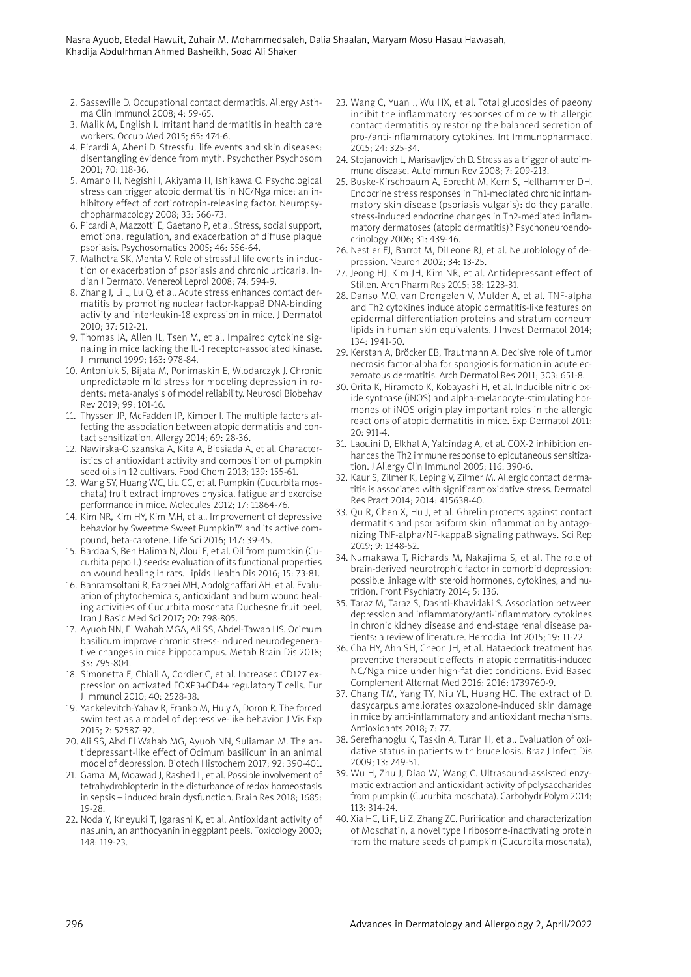- 2. Sasseville D. Occupational contact dermatitis. Allergy Asthma Clin Immunol 2008; 4: 59-65.
- 3. Malik M, English J. Irritant hand dermatitis in health care workers. Occup Med 2015; 65: 474-6.
- 4. Picardi A, Abeni D. Stressful life events and skin diseases: disentangling evidence from myth. Psychother Psychosom 2001; 70: 118-36.
- 5. Amano H, Negishi I, Akiyama H, Ishikawa O. Psychological stress can trigger atopic dermatitis in NC/Nga mice: an inhibitory effect of corticotropin-releasing factor. Neuropsychopharmacology 2008; 33: 566-73.
- 6. Picardi A, Mazzotti E, Gaetano P, et al. Stress, social support, emotional regulation, and exacerbation of diffuse plaque psoriasis. Psychosomatics 2005; 46: 556-64.
- 7. Malhotra SK, Mehta V. Role of stressful life events in induction or exacerbation of psoriasis and chronic urticaria. Indian J Dermatol Venereol Leprol 2008; 74: 594-9.
- 8. Zhang J, Li L, Lu Q, et al. Acute stress enhances contact dermatitis by promoting nuclear factor-kappaB DNA-binding activity and interleukin-18 expression in mice. J Dermatol 2010; 37: 512-21.
- 9. Thomas JA, Allen JL, Tsen M, et al. Impaired cytokine signaling in mice lacking the IL-1 receptor-associated kinase. J Immunol 1999; 163: 978-84.
- 10. Antoniuk S, Bijata M, Ponimaskin E, Wlodarczyk J. Chronic unpredictable mild stress for modeling depression in rodents: meta-analysis of model reliability. Neurosci Biobehav Rev 2019; 99: 101-16.
- 11. Thyssen JP, McFadden JP, Kimber I. The multiple factors affecting the association between atopic dermatitis and contact sensitization. Allergy 2014; 69: 28-36.
- 12. Nawirska-Olszańska A, Kita A, Biesiada A, et al. Characteristics of antioxidant activity and composition of pumpkin seed oils in 12 cultivars. Food Chem 2013; 139: 155-61.
- 13. Wang SY, Huang WC, Liu CC, et al. Pumpkin (Cucurbita moschata) fruit extract improves physical fatigue and exercise performance in mice. Molecules 2012; 17: 11864-76.
- 14. Kim NR, Kim HY, Kim MH, et al. Improvement of depressive behavior by Sweetme Sweet Pumpkin™ and its active compound, beta-carotene. Life Sci 2016; 147: 39-45.
- 15. Bardaa S, Ben Halima N, Aloui F, et al. Oil from pumpkin (Cucurbita pepo L.) seeds: evaluation of its functional properties on wound healing in rats. Lipids Health Dis 2016; 15: 73-81.
- 16. Bahramsoltani R, Farzaei MH, Abdolghaffari AH, et al. Evaluation of phytochemicals, antioxidant and burn wound healing activities of Cucurbita moschata Duchesne fruit peel. Iran J Basic Med Sci 2017; 20: 798-805.
- 17. Ayuob NN, El Wahab MGA, Ali SS, Abdel-Tawab HS. Ocimum basilicum improve chronic stress-induced neurodegenerative changes in mice hippocampus. Metab Brain Dis 2018; 33: 795-804.
- 18. Simonetta F, Chiali A, Cordier C, et al. Increased CD127 expression on activated FOXP3+CD4+ regulatory T cells. Eur J Immunol 2010; 40: 2528-38.
- 19. Yankelevitch-Yahav R, Franko M, Huly A, Doron R. The forced swim test as a model of depressive-like behavior. J Vis Exp 2015; 2: 52587-92.
- 20. Ali SS, Abd El Wahab MG, Ayuob NN, Suliaman M. The antidepressant-like effect of Ocimum basilicum in an animal model of depression. Biotech Histochem 2017; 92: 390-401.
- 21. Gamal M, Moawad J, Rashed L, et al. Possible involvement of tetrahydrobiopterin in the disturbance of redox homeostasis in sepsis – induced brain dysfunction. Brain Res 2018; 1685: 19-28.
- 22. Noda Y, Kneyuki T, Igarashi K, et al. Antioxidant activity of nasunin, an anthocyanin in eggplant peels. Toxicology 2000; 148: 119-23.
- 23. Wang C, Yuan J, Wu HX, et al. Total glucosides of paeony inhibit the inflammatory responses of mice with allergic contact dermatitis by restoring the balanced secretion of pro-/anti-inflammatory cytokines. Int Immunopharmacol 2015; 24: 325-34.
- 24. Stojanovich L, Marisavljevich D. Stress as a trigger of autoimmune disease. Autoimmun Rev 2008; 7: 209-213.
- 25. Buske-Kirschbaum A, Ebrecht M, Kern S, Hellhammer DH. Endocrine stress responses in Th1-mediated chronic inflammatory skin disease (psoriasis vulgaris): do they parallel stress-induced endocrine changes in Th2-mediated inflammatory dermatoses (atopic dermatitis)? Psychoneuroendocrinology 2006; 31: 439-46.
- 26. Nestler EJ, Barrot M, DiLeone RJ, et al. Neurobiology of depression. Neuron 2002; 34: 13-25.
- 27. Jeong HJ, Kim JH, Kim NR, et al. Antidepressant effect of Stillen. Arch Pharm Res 2015; 38: 1223-31.
- 28. Danso MO, van Drongelen V, Mulder A, et al. TNF-alpha and Th2 cytokines induce atopic dermatitis-like features on epidermal differentiation proteins and stratum corneum lipids in human skin equivalents. J Invest Dermatol 2014; 134: 1941-50.
- 29. Kerstan A, Bröcker EB, Trautmann A. Decisive role of tumor necrosis factor-alpha for spongiosis formation in acute eczematous dermatitis. Arch Dermatol Res 2011; 303: 651-8.
- 30. Orita K, Hiramoto K, Kobayashi H, et al. Inducible nitric oxide synthase (iNOS) and alpha-melanocyte-stimulating hormones of iNOS origin play important roles in the allergic reactions of atopic dermatitis in mice. Exp Dermatol 2011; 20: 911-4.
- 31. Laouini D, Elkhal A, Yalcindag A, et al. COX-2 inhibition enhances the Th2 immune response to epicutaneous sensitization. J Allergy Clin Immunol 2005; 116: 390-6.
- 32. Kaur S, Zilmer K, Leping V, Zilmer M. Allergic contact dermatitis is associated with significant oxidative stress. Dermatol Res Pract 2014; 2014: 415638-40.
- 33. Qu R, Chen X, Hu J, et al. Ghrelin protects against contact dermatitis and psoriasiform skin inflammation by antagonizing TNF-alpha/NF-kappaB signaling pathways. Sci Rep 2019; 9: 1348-52.
- 34. Numakawa T, Richards M, Nakajima S, et al. The role of brain-derived neurotrophic factor in comorbid depression: possible linkage with steroid hormones, cytokines, and nutrition. Front Psychiatry 2014; 5: 136.
- 35. Taraz M, Taraz S, Dashti-Khavidaki S. Association between depression and inflammatory/anti-inflammatory cytokines in chronic kidney disease and end-stage renal disease patients: a review of literature. Hemodial Int 2015; 19: 11-22.
- 36. Cha HY, Ahn SH, Cheon JH, et al. Hataedock treatment has preventive therapeutic effects in atopic dermatitis-induced NC/Nga mice under high-fat diet conditions. Evid Based Complement Alternat Med 2016; 2016: 1739760-9.
- 37. Chang TM, Yang TY, Niu YL, Huang HC. The extract of D. dasycarpus ameliorates oxazolone-induced skin damage in mice by anti-inflammatory and antioxidant mechanisms. Antioxidants 2018; 7: 77.
- 38. Serefhanoglu K, Taskin A, Turan H, et al. Evaluation of oxidative status in patients with brucellosis. Braz J Infect Dis 2009; 13: 249-51.
- 39. Wu H, Zhu J, Diao W, Wang C. Ultrasound-assisted enzymatic extraction and antioxidant activity of polysaccharides from pumpkin (Cucurbita moschata). Carbohydr Polym 2014; 113: 314-24.
- 40. Xia HC, Li F, Li Z, Zhang ZC. Purification and characterization of Moschatin, a novel type I ribosome-inactivating protein from the mature seeds of pumpkin (Cucurbita moschata),